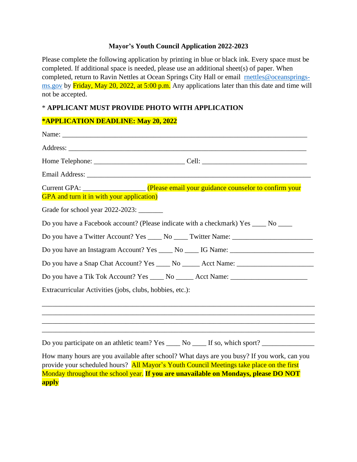## **Mayor's Youth Council Application 2022-2023**

Please complete the following application by printing in blue or black ink. Every space must be completed. If additional space is needed, please use an additional sheet(s) of paper. When completed, return to Ravin Nettles at Ocean Springs City Hall or email [rnettles@oceansprings](mailto:rnettles@oceansprings-ms.gov)[ms.gov](mailto:rnettles@oceansprings-ms.gov) by Friday, May 20, 2022, at 5:00 p.m. Any applications later than this date and time will not be accepted.

## \* **APPLICANT MUST PROVIDE PHOTO WITH APPLICATION**

## **\*APPLICATION DEADLINE: May 20, 2022**

| <b>GPA</b> and turn it in with your application)                                                                                                                                                                                                    |
|-----------------------------------------------------------------------------------------------------------------------------------------------------------------------------------------------------------------------------------------------------|
|                                                                                                                                                                                                                                                     |
| Do you have a Facebook account? (Please indicate with a checkmark) Yes ____ No ____                                                                                                                                                                 |
| Do you have a Twitter Account? Yes ______ No _____ Twitter Name: ________________                                                                                                                                                                   |
| Do you have an Instagram Account? Yes _____ No _____ IG Name: ___________________                                                                                                                                                                   |
|                                                                                                                                                                                                                                                     |
|                                                                                                                                                                                                                                                     |
| Extracurricular Activities (jobs, clubs, hobbies, etc.):                                                                                                                                                                                            |
|                                                                                                                                                                                                                                                     |
| ,我们也不会有什么。""我们的人,我们也不会有什么?""我们的人,我们也不会有什么?""我们的人,我们也不会有什么?""我们的人,我们也不会有什么?""我们的人                                                                                                                                                                    |
| Do you participate on an athletic team? Yes _____ No _____ If so, which sport? ____________________                                                                                                                                                 |
| How many hours are you available after school? What days are you busy? If you work, can you<br>$\mathbf{y}$ and $\mathbf{y}$ and $\mathbf{y}$ and $\mathbf{y}$ and $\mathbf{y}$ and $\mathbf{y}$ and $\mathbf{y}$ and $\mathbf{y}$ and $\mathbf{y}$ |

provide your scheduled hours? All Mayor's Youth Council Meetings take place on the first Monday throughout the school year. **If you are unavailable on Mondays, please DO NOT apply**